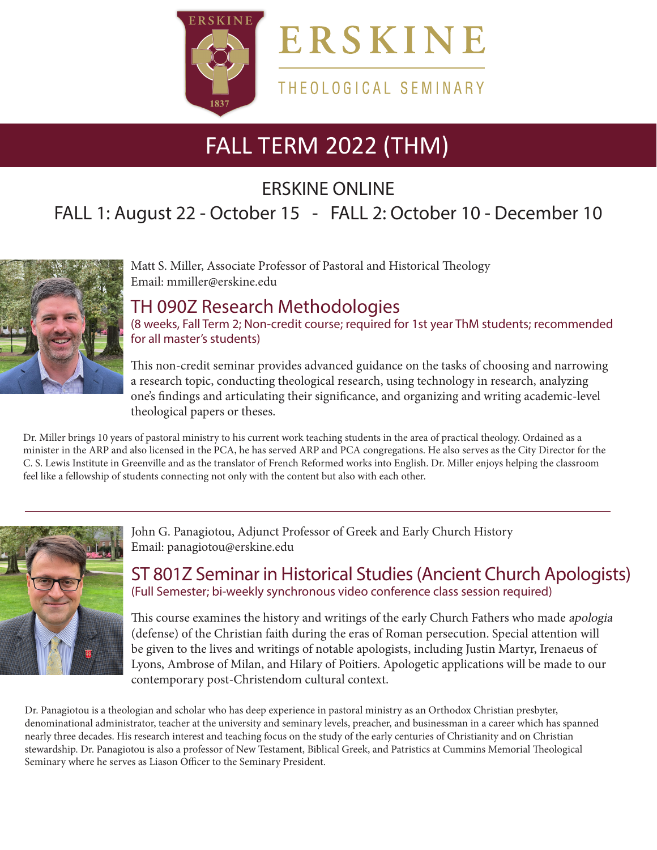

### THEOLOGICAL SEMINARY

# FALL TERM 2022 (THM)

ERSKINE ONLINE

# FALL 1: August 22 - October 15 - FALL 2: October 10 - December 10



Matt S. Miller, Associate Professor of Pastoral and Historical Theology Email: mmiller@erskine.edu

### TH 090Z Research Methodologies

(8 weeks, Fall Term 2; Non-credit course; required for 1st year ThM students; recommended for all master's students)

This non-credit seminar provides advanced guidance on the tasks of choosing and narrowing a research topic, conducting theological research, using technology in research, analyzing one's findings and articulating their significance, and organizing and writing academic-level theological papers or theses.

Dr. Miller brings 10 years of pastoral ministry to his current work teaching students in the area of practical theology. Ordained as a minister in the ARP and also licensed in the PCA, he has served ARP and PCA congregations. He also serves as the City Director for the C. S. Lewis Institute in Greenville and as the translator of French Reformed works into English. Dr. Miller enjoys helping the classroom feel like a fellowship of students connecting not only with the content but also with each other.



John G. Panagiotou, Adjunct Professor of Greek and Early Church History Email: panagiotou@erskine.edu

ST 801Z Seminar in Historical Studies (Ancient Church Apologists) (Full Semester; bi-weekly synchronous video conference class session required)

This course examines the history and writings of the early Church Fathers who made *apologia* (defense) of the Christian faith during the eras of Roman persecution. Special attention will be given to the lives and writings of notable apologists, including Justin Martyr, Irenaeus of Lyons, Ambrose of Milan, and Hilary of Poitiers. Apologetic applications will be made to our contemporary post-Christendom cultural context.

Dr. Panagiotou is a theologian and scholar who has deep experience in pastoral ministry as an Orthodox Christian presbyter, denominational administrator, teacher at the university and seminary levels, preacher, and businessman in a career which has spanned nearly three decades. His research interest and teaching focus on the study of the early centuries of Christianity and on Christian stewardship. Dr. Panagiotou is also a professor of New Testament, Biblical Greek, and Patristics at Cummins Memorial Theological Seminary where he serves as Liason Officer to the Seminary President.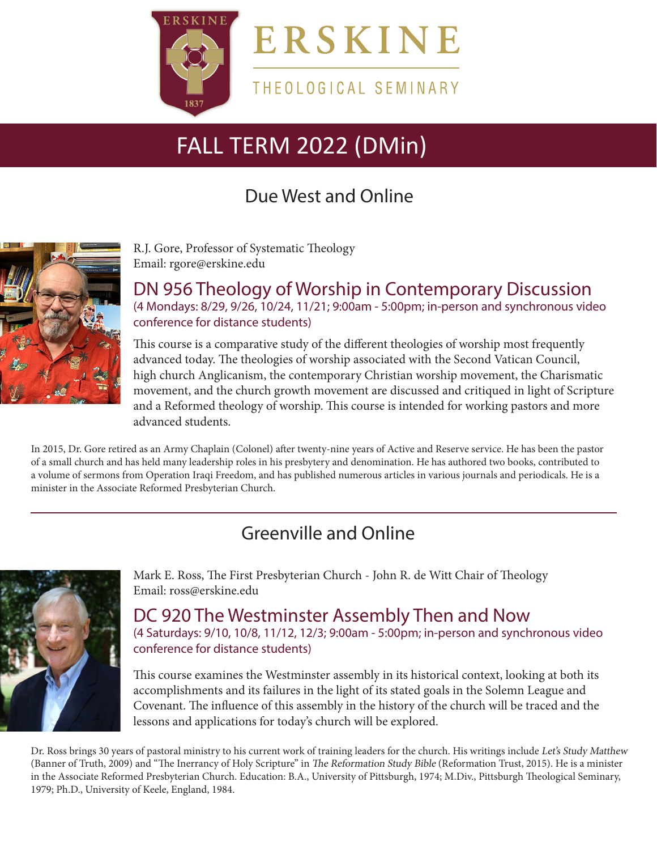

ERSKINE

THEOLOGICAL SEMINARY

# FALL TERM 2022 (DMin)

# Due West and Online



R.J. Gore, Professor of Systematic Theology Email: rgore@erskine.edu

DN 956 Theology of Worship in Contemporary Discussion (4 Mondays: 8/29, 9/26, 10/24, 11/21; 9:00am - 5:00pm; in-person and synchronous video conference for distance students)

This course is a comparative study of the different theologies of worship most frequently advanced today. The theologies of worship associated with the Second Vatican Council, high church Anglicanism, the contemporary Christian worship movement, the Charismatic movement, and the church growth movement are discussed and critiqued in light of Scripture and a Reformed theology of worship. This course is intended for working pastors and more advanced students.

In 2015, Dr. Gore retired as an Army Chaplain (Colonel) after twenty-nine years of Active and Reserve service. He has been the pastor of a small church and has held many leadership roles in his presbytery and denomination. He has authored two books, contributed to a volume of sermons from Operation Iraqi Freedom, and has published numerous articles in various journals and periodicals. He is a minister in the Associate Reformed Presbyterian Church.

## Greenville and Online



Mark E. Ross, The First Presbyterian Church - John R. de Witt Chair of Theology Email: ross@erskine.edu

DC 920 The Westminster Assembly Then and Now (4 Saturdays: 9/10, 10/8, 11/12, 12/3; 9:00am - 5:00pm; in-person and synchronous video conference for distance students)

This course examines the Westminster assembly in its historical context, looking at both its accomplishments and its failures in the light of its stated goals in the Solemn League and Covenant. The influence of this assembly in the history of the church will be traced and the lessons and applications for today's church will be explored.

Dr. Ross brings 30 years of pastoral ministry to his current work of training leaders for the church. His writings include Let's Study Matthew (Banner of Truth, 2009) and "The Inerrancy of Holy Scripture" in The Reformation Study Bible (Reformation Trust, 2015). He is a minister in the Associate Reformed Presbyterian Church. Education: B.A., University of Pittsburgh, 1974; M.Div., Pittsburgh Theological Seminary, 1979; Ph.D., University of Keele, England, 1984.